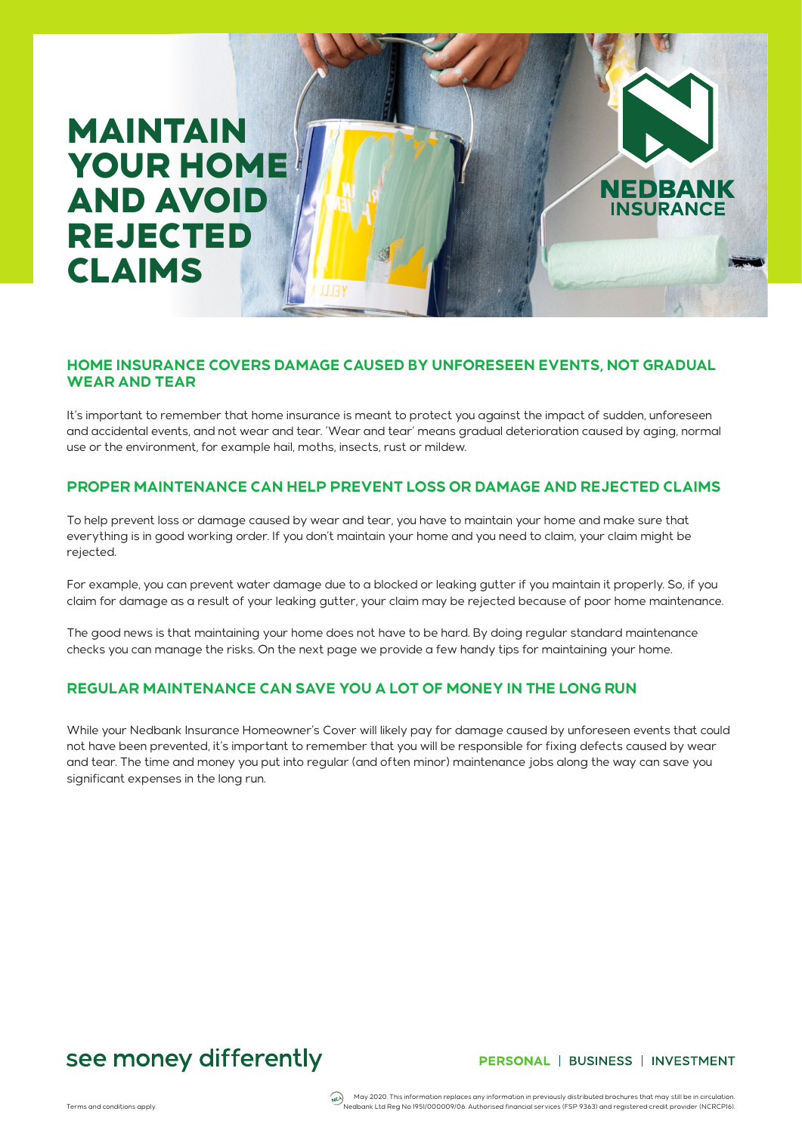# MAINTAIN YOUR HOME AND AVOID REJECTED CLAIMS

### **HOME INSURANCE COVERS DAMAGE CAUSED BY UNFORESEEN EVENTS, NOT GRADUAL WEAR AND TEAR**

It's important to remember that home insurance is meant to protect you against the impact of sudden, unforeseen and accidental events, and not wear and tear. 'Wear and tear' means gradual deterioration caused by aging, normal use or the environment, for example hail, moths, insects, rust or mildew.

### **PROPER MAINTENANCE CAN HELP PREVENT LOSS OR DAMAGE AND REJECTED CLAIMS**

To help prevent loss or damage caused by wear and tear, you have to maintain your home and make sure that everything is in good working order. If you don't maintain your home and you need to claim, your claim might be rejected.

For example, you can prevent water damage due to a blocked or leaking gutter if you maintain it properly. So, if you claim for damage as a result of your leaking gutter, your claim may be rejected because of poor home maintenance.

The good news is that maintaining your home does not have to be hard. By doing regular standard maintenance checks you can manage the risks. On the next page we provide a few handy tips for maintaining your home.

## **REGULAR MAINTENANCE CAN SAVE YOU A LOT OF MONEY IN THE LONG RUN**

While your Nedbank Insurance Homeowner's Cover will likely pay for damage caused by unforeseen events that could not have been prevented, it's important to remember that you will be responsible for fixing defects caused by wear and tear. The time and money you put into regular (and often minor) maintenance jobs along the way can save you significant expenses in the long run.

# see money differently

#### PERSONAL | BUSINESS | INVESTMENT

**NEDBANK INSURANCE** 

May 2020. This information replaces any information in previously distributed brochures that may still be in circulation<br>Nedbank Ltd Reg No 1951/000009/06. Authorised financial services (FSP 9363) and registered credit pro